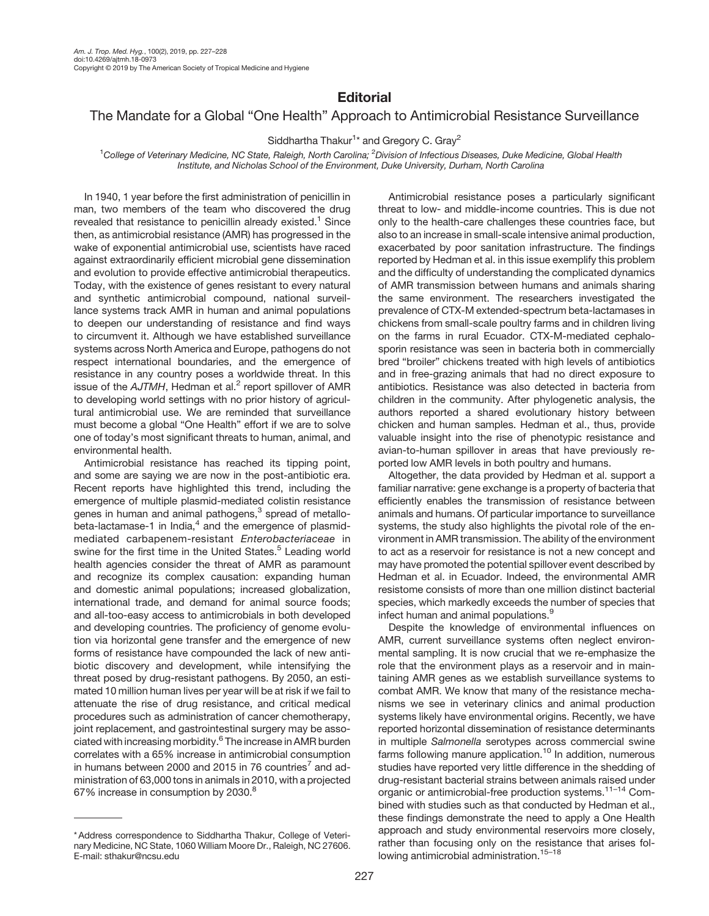## **Editorial**

## The Mandate for a Global "One Health" Approach to Antimicrobial Resistance Surveillance

Siddhartha Thakur<sup>1</sup>\* and Gregory C. Gray<sup>2</sup>

<sup>1</sup>College of Veterinary Medicine, NC State, Raleigh, North Carolina; <sup>2</sup>Division of Infectious Diseases, Duke Medicine, Global Health Institute, and Nicholas School of the Environment, Duke University, Durham, North Carolina

In 1940, 1 year before the first administration of penicillin in man, two members of the team who discovered the drug revealed that resistance to penicillin already existed. $1$  Since then, as antimicrobial resistance (AMR) has progressed in the wake of exponential antimicrobial use, scientists have raced against extraordinarily efficient microbial gene dissemination and evolution to provide effective antimicrobial therapeutics. Today, with the existence of genes resistant to every natural and synthetic antimicrobial compound, national surveillance systems track AMR in human and animal populations to deepen our understanding of resistance and find ways to circumvent it. Although we have established surveillance systems across North America and Europe, pathogens do not respect international boundaries, and the emergence of resistance in any country poses a worldwide threat. In this issue of the  $AJTMH$ , Hedman et al.<sup>2</sup> report spillover of AMR to developing world settings with no prior history of agricultural antimicrobial use. We are reminded that surveillance must become a global "One Health" effort if we are to solve one of today's most significant threats to human, animal, and environmental health.

Antimicrobial resistance has reached its tipping point, and some are saying we are now in the post-antibiotic era. Recent reports have highlighted this trend, including the emergence of multiple plasmid-mediated colistin resistance genes in human and animal pathogens,<sup>3</sup> spread of metallobeta-lactamase-1 in India, $4$  and the emergence of plasmidmediated carbapenem-resistant Enterobacteriaceae in swine for the first time in the United States.<sup>5</sup> Leading world health agencies consider the threat of AMR as paramount and recognize its complex causation: expanding human and domestic animal populations; increased globalization, international trade, and demand for animal source foods; and all-too-easy access to antimicrobials in both developed and developing countries. The proficiency of genome evolution via horizontal gene transfer and the emergence of new forms of resistance have compounded the lack of new antibiotic discovery and development, while intensifying the threat posed by drug-resistant pathogens. By 2050, an estimated 10 million human lives per year will be at risk if we fail to attenuate the rise of drug resistance, and critical medical procedures such as administration of cancer chemotherapy, joint replacement, and gastrointestinal surgery may be associated with increasing morbidity.<sup>6</sup> The increase in AMR burden correlates with a 65% increase in antimicrobial consumption in humans between 2000 and 2015 in 76 countries<sup>7</sup> and administration of 63,000 tons in animals in 2010, with a projected 67% increase in consumption by 2030.<sup>8</sup>

Antimicrobial resistance poses a particularly significant threat to low- and middle-income countries. This is due not only to the health-care challenges these countries face, but also to an increase in small-scale intensive animal production, exacerbated by poor sanitation infrastructure. The findings reported by Hedman et al. in this issue exemplify this problem and the difficulty of understanding the complicated dynamics of AMR transmission between humans and animals sharing the same environment. The researchers investigated the prevalence of CTX-M extended-spectrum beta-lactamases in chickens from small-scale poultry farms and in children living on the farms in rural Ecuador. CTX-M-mediated cephalosporin resistance was seen in bacteria both in commercially bred "broiler" chickens treated with high levels of antibiotics and in free-grazing animals that had no direct exposure to antibiotics. Resistance was also detected in bacteria from children in the community. After phylogenetic analysis, the authors reported a shared evolutionary history between chicken and human samples. Hedman et al., thus, provide valuable insight into the rise of phenotypic resistance and avian-to-human spillover in areas that have previously reported low AMR levels in both poultry and humans.

Altogether, the data provided by Hedman et al. support a familiar narrative: gene exchange is a property of bacteria that efficiently enables the transmission of resistance between animals and humans. Of particular importance to surveillance systems, the study also highlights the pivotal role of the environment in AMR transmission. The ability of the environment to act as a reservoir for resistance is not a new concept and may have promoted the potential spillover event described by Hedman et al. in Ecuador. Indeed, the environmental AMR resistome consists of more than one million distinct bacterial species, which markedly exceeds the number of species that infect human and animal populations.<sup>9</sup>

Despite the knowledge of environmental influences on AMR, current surveillance systems often neglect environmental sampling. It is now crucial that we re-emphasize the role that the environment plays as a reservoir and in maintaining AMR genes as we establish surveillance systems to combat AMR. We know that many of the resistance mechanisms we see in veterinary clinics and animal production systems likely have environmental origins. Recently, we have reported horizontal dissemination of resistance determinants in multiple Salmonella serotypes across commercial swine farms following manure application.<sup>10</sup> In addition, numerous studies have reported very little difference in the shedding of drug-resistant bacterial strains between animals raised under organic or antimicrobial-free production systems.<sup>11-14</sup> Combined with studies such as that conducted by Hedman et al., these findings demonstrate the need to apply a One Health approach and study environmental reservoirs more closely, rather than focusing only on the resistance that arises following antimicrobial administration.<sup>15–18</sup>

<sup>\*</sup> Address correspondence to Siddhartha Thakur, College of Veterinary Medicine, NC State, 1060 William Moore Dr., Raleigh, NC 27606. E-mail: sthakur@ncsu.edu